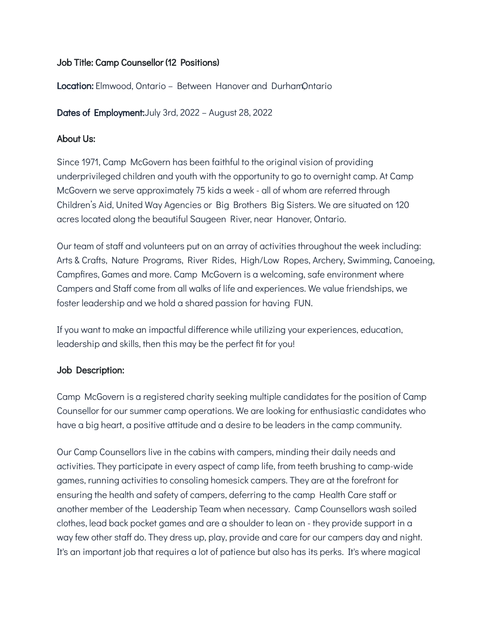# Job Title: Camp Counsellor (12 Positions)

Location: Elmwood, Ontario – Between Hanover and Durham Ontario

Dates of Employment:July 3rd, 2022 – August 28, 2022

### About Us:

Since 1971, Camp McGovern has been faithful to the original vision of providing underprivileged children and youth with the opportunity to go to overnight camp. At Camp McGovern we serve approximately 75 kids a week - all of whom are referred through Children's Aid, United Way Agencies or Big Brothers Big Sisters. We are situated on 120 acres located along the beautiful Saugeen River, near Hanover, Ontario.

Our team of staff and volunteers put on an array of activities throughout the week including: Arts & Crafts, Nature Programs, River Rides, High/Low Ropes, Archery, Swimming, Canoeing, Campfires, Games and more. Camp McGovern is a welcoming, safe environment where Campers and Staff come from all walks of life and experiences. We value friendships, we foster leadership and we hold a shared passion for having FUN.

If you want to make an impactful difference while utilizing your experiences, education, leadership and skills, then this may be the perfect fit for you!

# Job Description:

Camp McGovern is a registered charity seeking multiple candidates for the position of Camp Counsellor for our summer camp operations. We are looking for enthusiastic candidates who have a big heart, a positive attitude and a desire to be leaders in the camp community.

Our Camp Counsellors live in the cabins with campers, minding their daily needs and activities. They participate in every aspect of camp life, from teeth brushing to camp-wide games, running activities to consoling homesick campers. They are at the forefront for ensuring the health and safety of campers, deferring to the camp Health Care staff or another member of the Leadership Team when necessary. Camp Counsellors wash soiled clothes, lead back pocket games and are a shoulder to lean on - they provide support in a way few other staff do. They dress up, play, provide and care for our campers day and night. It's an important job that requires a lot of patience but also has its perks. It's where magical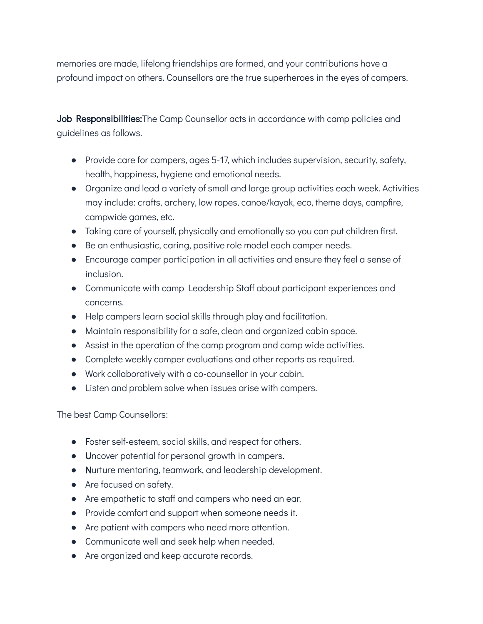memories are made, lifelong friendships are formed, and your contributions have a profound impact on others. Counsellors are the true superheroes in the eyes of campers.

Job Responsibilities: The Camp Counsellor acts in accordance with camp policies and guidelines as follows.

- Provide care for campers, ages 5-17, which includes supervision, security, safety, health, happiness, hygiene and emotional needs.
- Organize and lead a variety of small and large group activities each week. Activities may include: crafts, archery, low ropes, canoe/kayak, eco, theme days, campfire, campwide games, etc.
- Taking care of yourself, physically and emotionally so you can put children first.
- Be an enthusiastic, caring, positive role model each camper needs.
- Encourage camper participation in all activities and ensure they feel a sense of inclusion.
- Communicate with camp Leadership Staff about participant experiences and concerns.
- Help campers learn social skills through play and facilitation.
- Maintain responsibility for a safe, clean and organized cabin space.
- Assist in the operation of the camp program and camp wide activities.
- Complete weekly camper evaluations and other reports as required.
- Work collaboratively with a co-counsellor in your cabin.
- Listen and problem solve when issues arise with campers.

The best Camp Counsellors:

- Foster self-esteem, social skills, and respect for others.
- Uncover potential for personal growth in campers.
- Nurture mentoring, teamwork, and leadership development.
- Are focused on safety.
- Are empathetic to staff and campers who need an ear.
- Provide comfort and support when someone needs it.
- Are patient with campers who need more attention.
- Communicate well and seek help when needed.
- Are organized and keep accurate records.